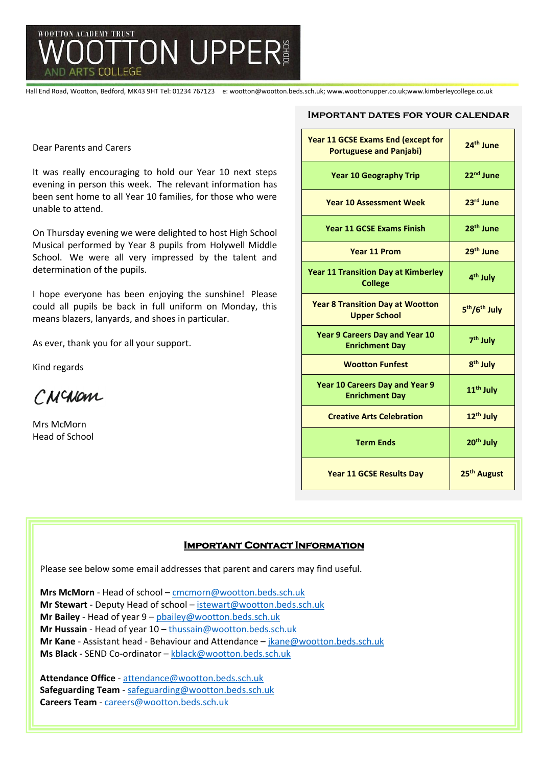

Hall End Road, Wootton, Bedford, MK43 9HT Tel: 01234 767123 e: wootton@wootton.beds.sch.uk; www.woottonupper.co.uk;www.kimberleycollege.co.uk

Dear Parents and Carers

It was really encouraging to hold our Year 10 next steps evening in person this week. The relevant information has been sent home to all Year 10 families, for those who were unable to attend.

On Thursday evening we were delighted to host High School Musical performed by Year 8 pupils from Holywell Middle School. We were all very impressed by the talent and determination of the pupils.

I hope everyone has been enjoying the sunshine! Please could all pupils be back in full uniform on Monday, this means blazers, lanyards, and shoes in particular.

As ever, thank you for all your support.

Kind regards

CNCNOM

Mrs McMorn Head of School

#### **Important dates for your calendar**

| Year 11 GCSE Exams End (except for<br><b>Portuguese and Panjabi)</b> | 24 <sup>th</sup> June                 |
|----------------------------------------------------------------------|---------------------------------------|
| <b>Year 10 Geography Trip</b>                                        | 22 <sup>nd</sup> June                 |
| <b>Year 10 Assessment Week</b>                                       | 23rd June                             |
| <b>Year 11 GCSE Exams Finish</b>                                     | 28 <sup>th</sup> June                 |
| <b>Year 11 Prom</b>                                                  | 29 <sup>th</sup> June                 |
| <b>Year 11 Transition Day at Kimberley</b><br><b>College</b>         | 4 <sup>th</sup> July                  |
| <b>Year 8 Transition Day at Wootton</b><br><b>Upper School</b>       | 5 <sup>th</sup> /6 <sup>th</sup> July |
| <b>Year 9 Careers Day and Year 10</b><br><b>Enrichment Day</b>       | 7 <sup>th</sup> July                  |
| <b>Wootton Funfest</b>                                               | 8 <sup>th</sup> July                  |
| <b>Year 10 Careers Day and Year 9</b><br><b>Enrichment Day</b>       | 11 <sup>th</sup> July                 |
| <b>Creative Arts Celebration</b>                                     | 12 <sup>th</sup> July                 |
| <b>Term Ends</b>                                                     | 20 <sup>th</sup> July                 |
| <b>Year 11 GCSE Results Day</b>                                      | 25 <sup>th</sup> August               |

### **Important Contact Information**

Please see below some email addresses that parent and carers may find useful.

**Mrs McMorn** - Head of school – [cmcmorn@wootton.beds.sch.uk](mailto:cmcmorn@wootton.beds.sch.uk) **Mr Stewart** - Deputy Head of school – [istewart@wootton.beds.sch.uk](mailto:istewart@wootton.beds.sch.uk) **Mr Bailey** - Head of year 9 – [pbailey@wootton.beds.sch.uk](mailto:pbailey@wootton.beds.sch.uk) **Mr Hussain** - Head of year 10 – [thussain@wootton.beds.sch.uk](mailto:thussain@wootton.beds.sch.uk) **Mr Kane** - Assistant head - Behaviour and Attendance – [jkane@wootton.beds.sch.uk](mailto:jkane@wootton.beds.sch.uk) **Ms Black** - SEND Co-ordinator – [kblack@wootton.beds.sch.uk](mailto:kblack@wootton.beds.sch.uk)

**Attendance Office** - [attendance@wootton.beds.sch.uk](mailto:attendance@wootton.beds.sch.uk) **Safeguarding Team** - [safeguarding@wootton.beds.sch.uk](mailto:safeguarding@wootton.beds.sch.uk) **Careers Team** - [careers@wootton.beds.sch.uk](mailto:careers@wootton.beds.sch.uk)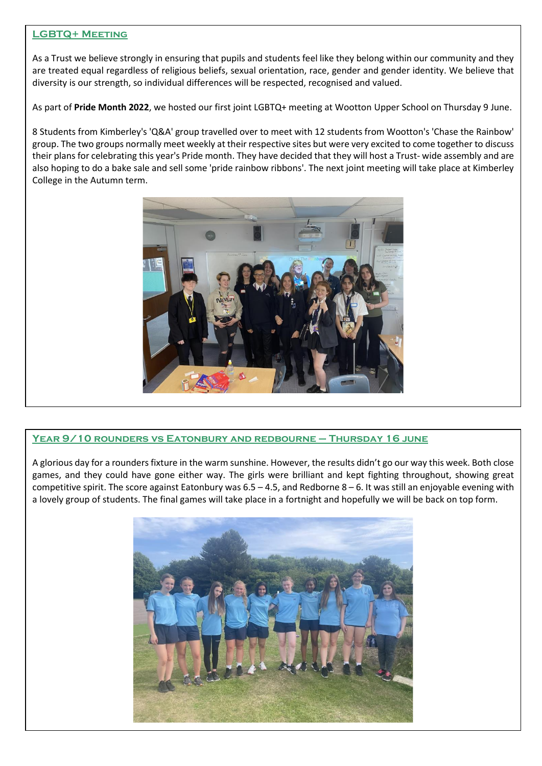## **LGBTQ+ Meeting**

As a Trust we believe strongly in ensuring that pupils and students feel like they belong within our community and they are treated equal regardless of religious beliefs, sexual orientation, race, gender and gender identity. We believe that diversity is our strength, so individual differences will be respected, recognised and valued.

As part of **Pride Month 2022**, we hosted our first joint LGBTQ+ meeting at Wootton Upper School on Thursday 9 June.

8 Students from Kimberley's 'Q&A' group travelled over to meet with 12 students from Wootton's 'Chase the Rainbow' group. The two groups normally meet weekly at their respective sites but were very excited to come together to discuss their plans for celebrating this year's Pride month. They have decided that they will host a Trust- wide assembly and are also hoping to do a bake sale and sell some 'pride rainbow ribbons'. The next joint meeting will take place at Kimberley College in the Autumn term.



# **Year 9/10 rounders vs Eatonbury and redbourne – Thursday 16 june**

A glorious day for a rounders fixture in the warm sunshine. However, the results didn't go our way this week. Both close games, and they could have gone either way. The girls were brilliant and kept fighting throughout, showing great competitive spirit. The score against Eatonbury was  $6.5 - 4.5$ , and Redborne  $8 - 6$ . It was still an enjoyable evening with a lovely group of students. The final games will take place in a fortnight and hopefully we will be back on top form.

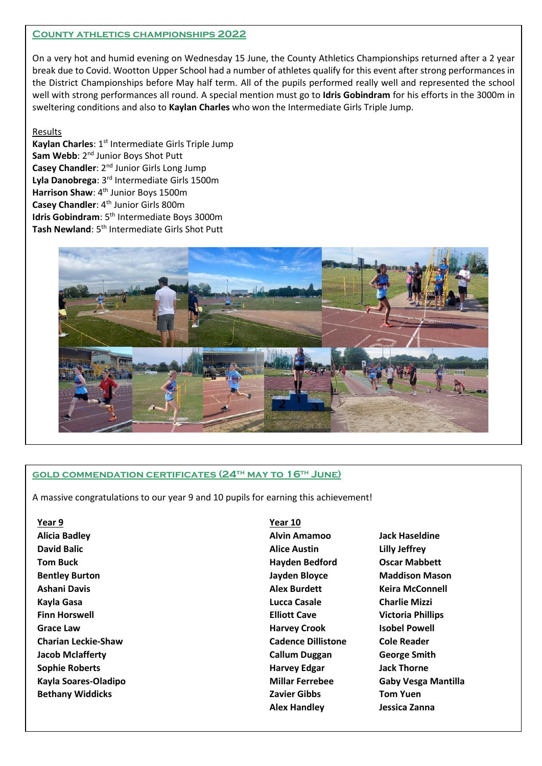#### **County athletics championships 2022**

On a very hot and humid evening on Wednesday 15 June, the County Athletics Championships returned after a 2 year break due to Covid. Wootton Upper School had a number of athletes qualify for this event after strong performances in the District Championships before May half term. All of the pupils performed really well and represented the school well with strong performances all round. A special mention must go to **Idris Gobindram** for his efforts in the 3000m in sweltering conditions and also to **Kaylan Charles** who won the Intermediate Girls Triple Jump.

## Results

Kaylan Charles: 1<sup>st</sup> Intermediate Girls Triple Jump Sam Webb: 2<sup>nd</sup> Junior Boys Shot Putt **Casey Chandler:** 2<sup>nd</sup> Junior Girls Long Jump **Lyla Danobrega**: 3rd Intermediate Girls 1500m **Harrison Shaw: 4<sup>th</sup> Junior Boys 1500m Casey Chandler: 4<sup>th</sup> Junior Girls 800m Idris Gobindram**: 5<sup>th</sup> Intermediate Boys 3000m **Tash Newland**: 5th Intermediate Girls Shot Putt



# **gold commendation certificates (24th may to 16th June)**

A massive congratulations to our year 9 and 10 pupils for earning this achievement!

**Year 9 Year 10 Alicia Badley Alvin Amamoo Jack Haseldine David Balic Alice Austin Lilly Jeffrey Tom Buck Hayden Bedford Oscar Mabbett Bentley Burton Jayden Bloyce Maddison Mason Ashani Davis Alex Burdett Keira McConnell Kayla Gasa Lucca Casale Charlie Mizzi Finn Horswell Elliott Cave Victoria Phillips Grace Law Harvey Crook Isobel Powell Charian Leckie-Shaw Cadence Dillistone Cole Reader Jacob Mclafferty Callum Duggan George Smith Sophie Roberts Harvey Edgar Jack Thorne Kayla Soares-Oladipo Millar Ferrebee Gaby Vesga Mantilla Bethany Widdicks Zavier Gibbs Tom Yuen**

**Alex Handley Jessica Zanna**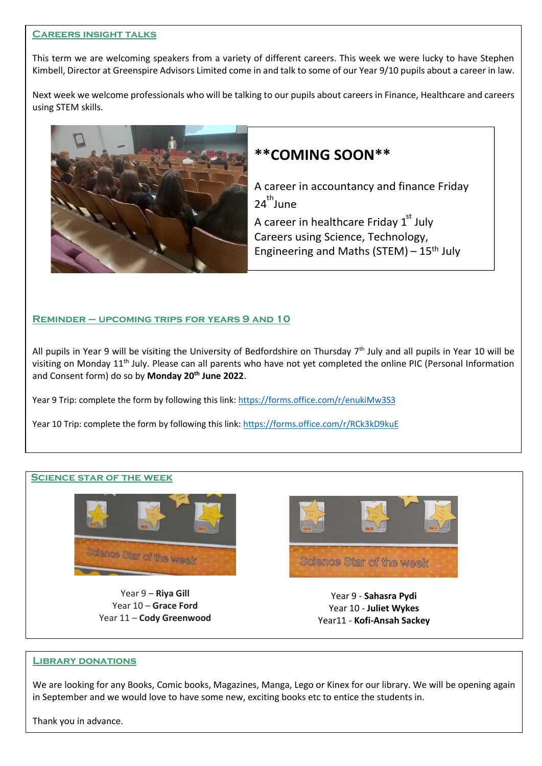#### **Careers insight talks**

This term we are welcoming speakers from a variety of different careers. This week we were lucky to have Stephen Kimbell, Director at Greenspire Advisors Limited come in and talk to some of our Year 9/10 pupils about a career in law.

Next week we welcome professionals who will be talking to our pupils about careers in Finance, Healthcare and careers using STEM skills.



# **\*\*COMING SOON\*\***

A career in accountancy and finance Friday  $24^{\text{th}}$ June

A career in healthcare Friday  $1<sup>st</sup>$  July Careers using Science, Technology, Engineering and Maths (STEM) –  $15<sup>th</sup>$  July

### **Reminder – upcoming trips for years 9 and 10**

All pupils in Year 9 will be visiting the University of Bedfordshire on Thursday  $7<sup>th</sup>$  July and all pupils in Year 10 will be visiting on Monday 11<sup>th</sup> July. Please can all parents who have not yet completed the online PIC (Personal Information and Consent form) do so by **Monday 20th June 2022**.

Year 9 Trip: complete the form by following this link:<https://forms.office.com/r/enukiMw3S3>

Year 10 Trip: complete the form by following this link:<https://forms.office.com/r/RCk3kD9kuE>

### **Science star of the week**



Year 9 – **Riya Gill** Year 10 – **Grace Ford** Year 11 – **Cody Greenwood**



Year 9 - **Sahasra Pydi** Year 10 - **Juliet Wykes** Year11 - **Kofi-Ansah Sackey**

#### **Library donations**

We are looking for any Books, Comic books, Magazines, Manga, Lego or Kinex for our library. We will be opening again in September and we would love to have some new, exciting books etc to entice the students in.

Thank you in advance.